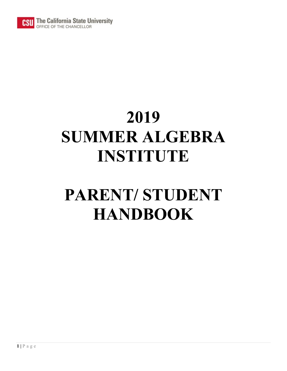

# **2019 SUMMER ALGEBRA INSTITUTE**

# **PARENT/ STUDENT HANDBOOK**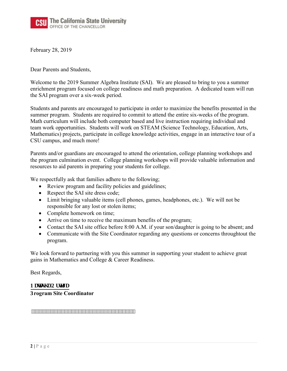

February 28, 2019

Dear Parents and Students,

Welcome to the 2019 Summer Algebra Institute (SAI). We are pleased to bring to you a summer enrichment program focused on college readiness and math preparation. A dedicated team will run the SAI program over a six-week period.

Students and parents are encouraged to participate in order to maximize the benefits presented in the summer program. Students are required to commit to attend the entire six-weeks of the program. Math curriculum will include both computer based and live instruction requiring individual and team work opportunities. Students will work on STEAM (Science Technology, Education, Arts, Mathematics) projects, participate in college knowledge activities, engage in an interactive tour of a CSU campus, and much more!

Parents and/or guardians are encouraged to attend the orientation, college planning workshops and the program culmination event. College planning workshops will provide valuable information and resources to aid parents in preparing your students for college.

We respectfully ask that families adhere to the following;

- Review program and facility policies and guidelines;
- Respect the SAI site dress code;
- Limit bringing valuable items (cell phones, games, headphones, etc.). We will not be responsible for any lost or stolen items;
- Complete homework on time;
- Arrive on time to receive the maximum benefits of the program;
- Contact the SAI site office before 8:00 A.M. if your son/daughter is going to be absent; and
- Communicate with the Site Coordinator regarding any questions or concerns throughtout the program.

We look forward to partnering with you this summer in supporting your student to achieve great gains in Mathematics and College & Career Readiness.

Best Regards,

Pcwuj c'Qt vgi c **3rogram Site Coordinator**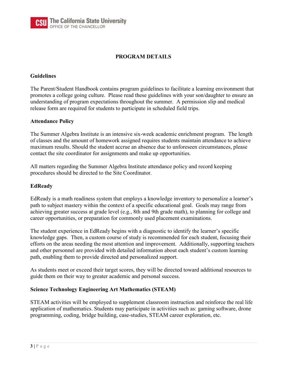### **PROGRAM DETAILS**

### **Guidelines**

The Parent/Student Handbook contains program guidelines to facilitate a learning environment that promotes a college going culture. Please read these guidelines with your son/daughter to ensure an understanding of program expectations throughout the summer. A permission slip and medical release form are required for students to participate in scheduled field trips.

#### **Attendance Policy**

The Summer Algebra Institute is an intensive six-week academic enrichment program. The length of classes and the amount of homework assigned requires students maintain attendance to achieve maximum results. Should the student accrue an absence due to unforeseen circumstances, please contact the site coordinator for assignments and make up opportunities.

All matters regarding the Summer Algebra Institute attendance policy and record keeping procedures should be directed to the Site Coordinator.

#### **EdReady**

EdReady is a math readiness system that employs a knowledge inventory to personalize a learner's path to subject mastery within the context of a specific educational goal. Goals may range from achieving greater success at grade level (e.g., 8th and 9th grade math), to planning for college and career opportunities, or preparation for commonly used placement examinations.

The student experience in EdReady begins with a diagnostic to identify the learner's specific knowledge gaps. Then, a custom course of study is recommended for each student, focusing their efforts on the areas needing the most attention and improvement. Additionally, supporting teachers and other personnel are provided with detailed information about each student's custom learning path, enabling them to provide directed and personalized support.

As students meet or exceed their target scores, they will be directed toward additional resources to guide them on their way to greater academic and personal success.

#### **Science Technology Engineering Art Mathematics (STEAM)**

STEAM activities will be employed to supplement classroom instruction and reinforce the real life application of mathematics. Students may participate in activities such as: gaming software, drone programming, coding, bridge building, case-studies, STEAM career exploration, etc.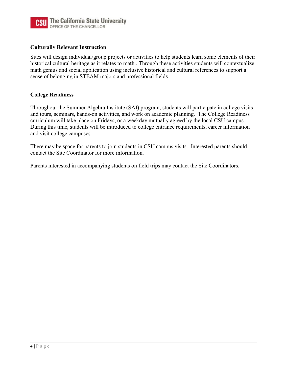

### **Culturally Relevant Instruction**

Sites will design individual/group projects or activities to help students learn some elements of their historical cultural heritage as it relates to math.. Through these activities students will contextualize math genius and social application using inclusive historical and cultural references to support a sense of belonging in STEAM majors and professional fields.

#### **College Readiness**

Throughout the Summer Algebra Institute (SAI) program, students will participate in college visits and tours, seminars, hands-on activities, and work on academic planning. The College Readiness curriculum will take place on Fridays, or a weekday mutually agreed by the local CSU campus. During this time, students will be introduced to college entrance requirements, career information and visit college campuses.

There may be space for parents to join students in CSU campus visits. Interested parents should contact the Site Coordinator for more information.

Parents interested in accompanying students on field trips may contact the Site Coordinators.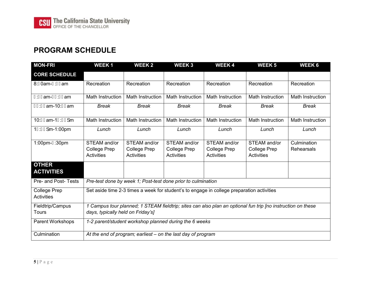### **PROGRAM SCHEDULE**

| <b>MON-FRI</b>                           | <b>WEEK1</b>                                                                                                                                     | <b>WEEK2</b>                               | <b>WEEK3</b>                                             | <b>WEEK4</b>                                             | <b>WEEK 5</b>                                     | WEEK <sub>6</sub>         |
|------------------------------------------|--------------------------------------------------------------------------------------------------------------------------------------------------|--------------------------------------------|----------------------------------------------------------|----------------------------------------------------------|---------------------------------------------------|---------------------------|
| <b>CORE SCHEDULE</b>                     |                                                                                                                                                  |                                            |                                                          |                                                          |                                                   |                           |
| 8:H0am-J∶ <del>€€</del> am               | Recreation                                                                                                                                       | Recreation                                 | Recreation                                               | Recreation                                               | Recreation                                        | Recreation                |
| J:€€am-F€:H€am                           | Math Instruction                                                                                                                                 | Math Instruction                           | Math Instruction                                         | Math Instruction                                         | <b>Math Instruction</b>                           | <b>Math Instruction</b>   |
| F€H€am-10:I Í am                         | <b>Break</b>                                                                                                                                     | <b>Break</b>                               | <b>Break</b>                                             | <b>Break</b>                                             | <b>Break</b>                                      | <b>Break</b>              |
| 10:I l am-1GFI ] m                       | Math Instruction                                                                                                                                 | Math Instruction                           | Math Instruction                                         | Math Instruction                                         | <b>Math Instruction</b>                           | <b>Math Instruction</b>   |
| 1GFI ] m-1:00pm                          | Lunch                                                                                                                                            | Lunch                                      | Lunch                                                    | Lunch                                                    | Lunch                                             | Lunch                     |
| 1:00pm-G30pm                             | STEAM and/or<br>College Prep<br><b>Activities</b>                                                                                                | STEAM and/or<br>College Prep<br>Activities | STEAM and/or<br><b>College Prep</b><br><b>Activities</b> | STEAM and/or<br><b>College Prep</b><br><b>Activities</b> | STEAM and/or<br><b>College Prep</b><br>Activities | Culmination<br>Rehearsals |
| <b>OTHER</b><br><b>ACTIVITIES</b>        |                                                                                                                                                  |                                            |                                                          |                                                          |                                                   |                           |
| Pre- and Post- Tests                     | Pre-test done by week 1; Post-test done prior to culmination                                                                                     |                                            |                                                          |                                                          |                                                   |                           |
| <b>College Prep</b><br><b>Activities</b> | Set aside time 2-3 times a week for student's to engage in college preparation activities                                                        |                                            |                                                          |                                                          |                                                   |                           |
| Fieldtrip/Campus<br>Tours                | 1 Campus tour planned; 1 STEAM fieldtrip; sites can also plan an optional fun trip [no instruction on these<br>days, typically held on Friday's] |                                            |                                                          |                                                          |                                                   |                           |
| Parent Workshops                         | 1-2 parent/student workshop planned during the 6 weeks                                                                                           |                                            |                                                          |                                                          |                                                   |                           |
| Culmination                              | At the end of program; earliest – on the last day of program                                                                                     |                                            |                                                          |                                                          |                                                   |                           |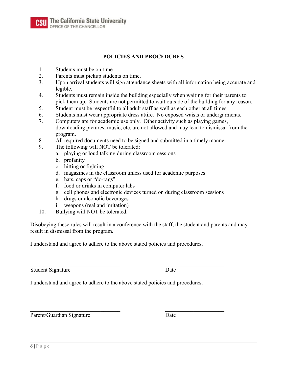The California State University<br>OFFICE OF THE CHANCELLOR

### **POLICIES AND PROCEDURES**

- 1. Students must be on time.
- 2. Parents must pickup students on time.
- 3. Upon arrival students will sign attendance sheets with all information being accurate and legible.
- 4. Students must remain inside the building especially when waiting for their parents to pick them up. Students are not permitted to wait outside of the building for any reason.
- 5. Student must be respectful to all adult staff as well as each other at all times.
- 6. Students must wear appropriate dress attire. No exposed waists or undergarments.
- 7. Computers are for academic use only. Other activity such as playing games, downloading pictures, music, etc. are not allowed and may lead to dismissal from the program.
- 8. All required documents need to be signed and submitted in a timely manner.
- 9. The following will NOT be tolerated:
	- a. playing or loud talking during classroom sessions
	- b. profanity
	- c. hitting or fighting
	- d. magazines in the classroom unless used for academic purposes
	- e. hats, caps or "do-rags"
	- f. food or drinks in computer labs
	- g. cell phones and electronic devices turned on during classroom sessions
	- h. drugs or alcoholic beverages
	- i. weapons (real and imitation)
- 10. Bullying will NOT be tolerated.

Disobeying these rules will result in a conference with the staff, the student and parents and may result in dismissal from the program.

I understand and agree to adhere to the above stated policies and procedures.

Student Signature Date

I understand and agree to adhere to the above stated policies and procedures.

Parent/Guardian Signature Date

 $\_$  , and the contribution of the contribution of  $\mathcal{L}_\mathcal{A}$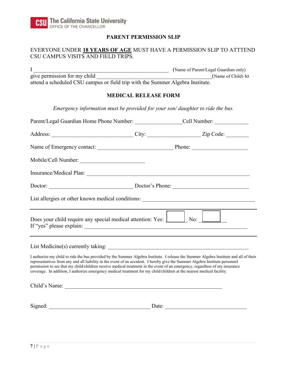### **PARENT PERMISSION SLIP**

### EVERYONE UNDER **18 YEARS OF AGE** MUST HAVE A PERMISSION SLIP TO ATTTEND CSU CAMPUS VISITS AND FIELD TRIPS.

I \_\_\_\_\_\_\_\_\_\_\_\_\_\_\_\_\_\_\_\_\_\_\_\_\_\_\_\_\_\_\_\_\_\_\_\_\_\_\_\_\_\_\_\_\_\_\_\_ (Name of Parent/Legal Guardian only) give permission for my child  $(Name of Child)$  to attend a scheduled CSU campus or field trip with the Summer Algebra Institute.

#### **MEDICAL RELEASE FORM**

*Emergency information must be provided for your son/ daughter to ride the bus.* 

| Parent/Legal Guardian Home Phone Number: _______________________Cell Number: ______________________                                                                                                                                                                                                                                                                                                                                                                                                                            |  |
|--------------------------------------------------------------------------------------------------------------------------------------------------------------------------------------------------------------------------------------------------------------------------------------------------------------------------------------------------------------------------------------------------------------------------------------------------------------------------------------------------------------------------------|--|
|                                                                                                                                                                                                                                                                                                                                                                                                                                                                                                                                |  |
|                                                                                                                                                                                                                                                                                                                                                                                                                                                                                                                                |  |
|                                                                                                                                                                                                                                                                                                                                                                                                                                                                                                                                |  |
|                                                                                                                                                                                                                                                                                                                                                                                                                                                                                                                                |  |
| Doctor: Doctor: Doctor's Phone:                                                                                                                                                                                                                                                                                                                                                                                                                                                                                                |  |
| List allergies or other known medical conditions: _______________________________                                                                                                                                                                                                                                                                                                                                                                                                                                              |  |
| Does your child require any special medical attention: Yes: No: No: No:                                                                                                                                                                                                                                                                                                                                                                                                                                                        |  |
|                                                                                                                                                                                                                                                                                                                                                                                                                                                                                                                                |  |
| I authorize my child to ride the bus provided by the Summer Algebra Institute. I release the Summer Algebra Institute and all of their<br>representatives from any and all liability in the event of an accident. I hereby give the Summer Algebra Institute personnel<br>permission to see that my child/children receive medical treatment in the event of an emergency, regardless of my insurance<br>coverage. In addition, I authorize emergency medical treatment for my child/children at the nearest medical facility. |  |
| Child's Name:                                                                                                                                                                                                                                                                                                                                                                                                                                                                                                                  |  |
|                                                                                                                                                                                                                                                                                                                                                                                                                                                                                                                                |  |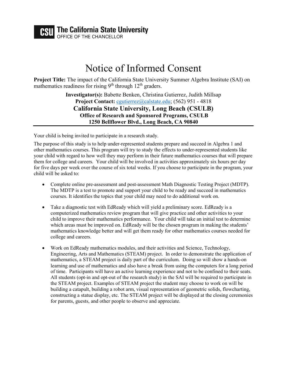# **CSU** The California State University

**PEFICE OF THE CHANCELLOR** 

# Notice of Informed Consent

**Project Title:** The impact of the California State University Summer Algebra Institute (SAI) on mathematics readiness for rising  $9<sup>th</sup>$  through 12<sup>th</sup> graders.

> **Investigator(s):** Babette Benken, Christina Gutierrez, Judith Millsap **Project Contact:** [cgutierrez@](mailto:fuy@calstate.edu)calstate.edu; (562) 951 - 4818 **California State University, Long Beach (CSULB) Office of Research and Sponsored Programs, CSULB 1250 Bellflower Blvd., Long Beach, CA 90840**

Your child is being invited to participate in a research study.

The purpose of this study is to help under-represented students prepare and succeed in Algebra 1 and other mathematics courses. This program will try to study the effects to under-represented students like your child with regard to how well they may perform in their future mathematics courses that will prepare them for college and careers. Your child will be involved in activities approximately six hours per day for five days per week over the course of six total weeks. If you choose to participate in the program, your child will be asked to:

- Complete online pre-assessment and post-assessment Math Diagnostic Testing Project (MDTP). The MDTP is a test to promote and support your child to be ready and succeed in mathematics courses. It identifies the topics that your child may need to do additional work on.
- Take a diagnostic test with EdReady which will yield a preliminary score. EdReady is a computerized mathematics review program that will give practice and other activities to your child to improve their mathematics performance. Your child will take an initial test to determine which areas must be improved on. EdReady will be the chosen program in making the students' mathematics knowledge better and will get them ready for other mathematics courses needed for college and careers.
- Work on EdReady mathematics modules, and their activities and Science, Technology, Engineering, Arts and Mathematics (STEAM) project. In order to demonstrate the application of mathematics, a STEAM project is daily part of the curriculum. Doing so will show a hands-on learning and use of mathematics and also have a break from using the computers for a long period of time. Participants will have an active learning experience and not to be confined to their seats. All students (opt-in and opt-out of the research study) in the SAI will be required to participate in the STEAM project. Examples of STEAM project the student may choose to work on will be building a catapult, building a robot arm, visual representation of geometric solids, flowcharting, constructing a statue display, etc. The STEAM project will be displayed at the closing ceremonies for parents, guests, and other people to observe and appreciate.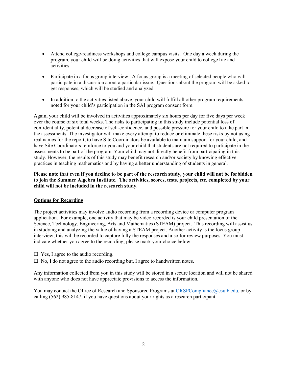- Attend college-readiness workshops and college campus visits. One day a week during the program, your child will be doing activities that will expose your child to college life and activities.
- Participate in a focus group interview. A focus group is a meeting of selected people who will participate in a discussion about a particular issue. Questions about the program will be asked to get responses, which will be studied and analyzed.
- In addition to the activities listed above, your child will fulfill all other program requirements noted for your child's participation in the SAI program consent form.

Again, your child will be involved in activities approximately six hours per day for five days per week over the course of six total weeks. The risks to participating in this study include potential loss of confidentiality, potential decrease of self-confidence, and possible pressure for your child to take part in the assessments. The investigator will make every attempt to reduce or eliminate these risks by not using real names for the report, to have Site Coordinators be available to maintain support for your child, and have Site Coordinators reinforce to you and your child that students are not required to participate in the assessments to be part of the program. Your child may not directly benefit from participating in this study. However, the results of this study may benefit research and/or society by knowing effective practices in teaching mathematics and by having a better understanding of students in general.

**Please note that even if you decline to be part of the research study, your child will not be forbidden to join the Summer Algebra Institute. The activities, scores, tests, projects, etc. completed by your child will not be included in the research study**.

#### **Options for Recording**

The project activities may involve audio recording from a recording device or computer program application. For example, one activity that may be video recorded is your child presentation of the Science, Technology, Engineering, Arts and Mathematics (STEAM) project. This recording will assist us in studying and analyzing the value of having a STEAM project. Another activity is the focus group interview; this will be recorded to capture fully the responses and also for review purposes. You must indicate whether you agree to the recording; please mark your choice below.

- $\Box$  Yes, I agree to the audio recording.
- $\Box$  No, I do not agree to the audio recording but, I agree to handwritten notes.

Any information collected from you in this study will be stored in a secure location and will not be shared with anyone who does not have appreciate provisions to access the information.

You may contact the Office of Research and Sponsored Programs at [ORSPCompliance@csulb.edu,](mailto:ORSPCompliance@csulb.edu) or by calling (562) 985-8147, if you have questions about your rights as a research participant.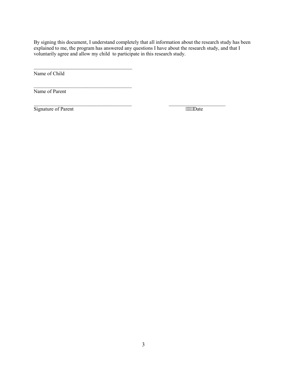By signing this document, I understand completely that all information about the research study has been explained to me, the program has answered any questions I have about the research study, and that I voluntarily agree and allow my child to participate in this research study.

Name of Child

Name of Parent

Signature of Parent Theorem and Theorem 2014

 $\mathcal{L}_\text{max}$  , where  $\mathcal{L}_\text{max}$  and  $\mathcal{L}_\text{max}$ 

\_\_\_\_\_\_\_\_\_\_\_\_\_\_\_\_\_\_\_\_\_\_\_\_\_\_\_\_\_\_\_\_\_\_\_

 $\_$  , and the contribution of the contribution of  $\mathcal{L}_\mathcal{A}$  , and the contribution of  $\mathcal{L}_\mathcal{A}$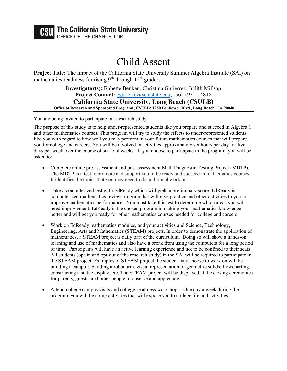### **CSU** The California State University FFICE OF THE CHANCELLOR

Child Assent

**Project Title:** The impact of the California State University Summer Algebra Institute (SAI) on mathematics readiness for rising 9<sup>th</sup> through 12<sup>th</sup> graders.

**Investigator(s):** Babette Benken, Christina Gutierrez, Judith Millsap **Project Contact:** [cgutierrez@](mailto:fuy@calstate.edu)calstate.edu; (562) 951 - 4818 **California State University, Long Beach (CSULB) Office of Research and Sponsored Programs, CSULB: 1250 Bellflower Blvd., Long Beach, CA 90840**

You are being invited to participate in a research study.

The purpose of this study is to help under-represented students like you prepare and succeed in Algebra 1 and other mathematics courses. This program will try to study the effects to under-represented students like you with regard to how well you may perform in your future mathematics courses that will prepare you for college and careers. You will be involved in activities approximately six hours per day for five days per week over the course of six total weeks. If you choose to participate in the program, you will be asked to:

- Complete online pre-assessment and post-assessment Math Diagnostic Testing Project (MDTP). The MDTP is a test to promote and support you to be ready and succeed in mathematics courses. It identifies the topics that you may need to do additional work on.
- Take a computerized test with EdReady which will yield a preliminary score. EdReady is a computerized mathematics review program that will give practice and other activities to you to improve mathematics performance. You must take this test to determine which areas you will need improvement. EdReady is the chosen program in making your mathematics knowledge better and will get you ready for other mathematics courses needed for college and careers.
- Work on EdReady mathematics modules, and your activities and Science, Technology, Engineering, Arts and Mathematics (STEAM) projects. In order to demonstrate the application of mathematics, a STEAM project is daily part of the curriculum. Doing so will show a hands-on learning and use of mathematics and also have a break from using the computers for a long period of time. Participants will have an active learning experience and not to be confined to their seats. All students (opt-in and opt-out of the research study) in the SAI will be required to participate in the STEAM project. Examples of STEAM project the student may choose to work on will be building a catapult, building a robot arm, visual representation of geometric solids, flowcharting, constructing a statue display, etc. The STEAM project will be displayed at the closing ceremonies for parents, guests, and other people to observe and appreciate
- Attend college campus visits and college-readiness workshops. One day a week during the program, you will be doing activities that will expose you to college life and activities.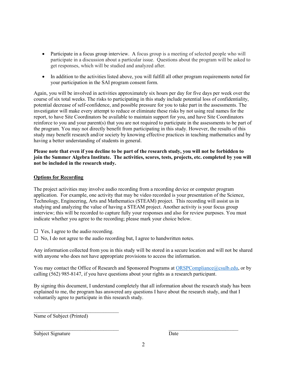- Participate in a focus group interview. A focus group is a meeting of selected people who will participate in a discussion about a particular issue. Questions about the program will be asked to get responses, which will be studied and analyzed after.
- In addition to the activities listed above, you will fulfill all other program requirements noted for your participation in the SAI program consent form.

Again, you will be involved in activities approximately six hours per day for five days per week over the course of six total weeks. The risks to participating in this study include potential loss of confidentiality, potential decrease of self-confidence, and possible pressure for you to take part in the assessments. The investigator will make every attempt to reduce or eliminate these risks by not using real names for the report, to have Site Coordinators be available to maintain support for you, and have Site Coordinators reinforce to you and your parent(s) that you are not required to participate in the assessments to be part of the program. You may not directly benefit from participating in this study. However, the results of this study may benefit research and/or society by knowing effective practices in teaching mathematics and by having a better understanding of students in general.

#### **Please note that even if you decline to be part of the research study, you will not be forbidden to join the Summer Algebra Institute. The activities, scores, tests, projects, etc. completed by you will not be included in the research study.**

#### **Options for Recording**

The project activities may involve audio recording from a recording device or computer program application. For example, one activity that may be video recorded is your presentation of the Science, Technology, Engineering, Arts and Mathematics (STEAM) project. This recording will assist us in studying and analyzing the value of having a STEAM project. Another activity is your focus group interview; this will be recorded to capture fully your responses and also for review purposes. You must indicate whether you agree to the recording; please mark your choice below.

 $\Box$  Yes, I agree to the audio recording.

 $\Box$  No, I do not agree to the audio recording but, I agree to handwritten notes.

Any information collected from you in this study will be stored in a secure location and will not be shared with anyone who does not have appropriate provisions to access the information.

You may contact the Office of Research and Sponsored Programs at [ORSPCompliance@csulb.edu,](mailto:ORSPCompliance@csulb.edu) or by calling (562) 985-8147, if you have questions about your rights as a research participant.

By signing this document, I understand completely that all information about the research study has been explained to me, the program has answered any questions I have about the research study, and that I voluntarily agree to participate in this research study.

Name of Subject (Printed)

\_\_\_\_\_\_\_\_\_\_\_\_\_\_\_\_\_\_\_\_\_\_\_\_\_\_\_\_\_\_\_\_\_

Subject Signature Date

 $\overline{\phantom{a}}$  , and the contract of the contract of the contract of the contract of the contract of the contract of the contract of the contract of the contract of the contract of the contract of the contract of the contrac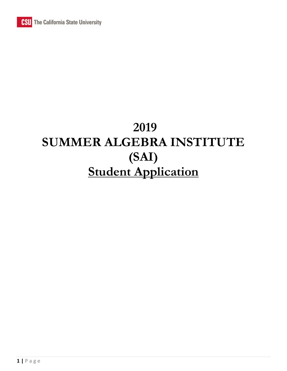# **2019 SUMMER ALGEBRA INSTITUTE (SAI) Student Application**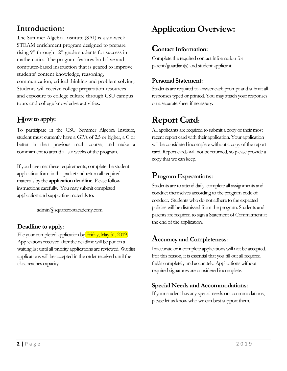### **Introduction:**

The Summer Algebra Institute (SAI) is a six-week STEAM enrichment program designed to prepare rising  $9<sup>th</sup>$  through  $12<sup>th</sup>$  grade students for success in mathematics. The program features both live and computer-based instruction that is geared to improve students' content knowledge, reasoning, communication, critical thinking and problem solving. Students will receive college preparation resources and exposure to college culture through CSU campus tours and college knowledge activities.

### **How to apply:**

To participate in the CSU Summer Algebra Institute, student must currently have a GPA of 2.5 or higher, a C or better in their previous math course, and make a commitment to attend all six weeks of the program.

If you have met these requirements, complete the student application form in this packet and return all required materials by the **application deadline**. Please follow instructions carefully. You may submit completed application and supporting materials to:

admin@squarerootacademy.com

### **Deadline to apply**:

File your completed application by Friday, May 31, 2019. Applications received after the deadlinewill be put on a waiting list until all priority applications are reviewed. Waitlist applications will be accepted in the order received until the class reaches capacity.

# **Application Overview:**

### **Contact Information:**

Complete the required contact information for parent/guardian(s) and student applicant.

### **Personal Statement:**

Students are required to answer each prompt and submit all responses typed or printed.You may attach your responses on a separate sheet if necessary.

## **Report Card:**

All applicants are required to submit a copy of their most recent report card with their application. Your application will be considered incomplete without a copy of the report card. Report cardswill not be returned, so please provide a copy that we can keep.

### **Program Expectations:**

Students are to attend daily, complete all assignments and conduct themselves according to the program code of conduct. Students who do not adhere to the expected policies will be dismissed from the program. Students and parents are required to sign a Statement of Commitment at the end of the application.

### **Accuracy and Completeness:**

Inaccurate or incomplete applications will not be accepted. For this reason, it is essential that you fill out all required fields completely and accurately. Applications without required signatures are considered incomplete.

### **Special Needs and Accommodations:**

If your student has any special needs or accommodations, please let us know who we can best support them.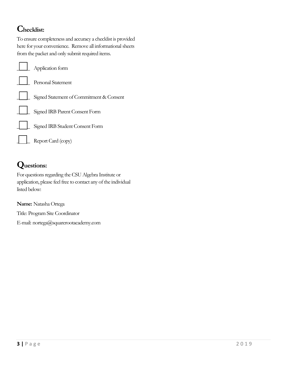### **Checklist:**

To ensure completeness and accuracy a checklist is provided here for your convenience. Remove all informational sheets from the packet and only submit required items.

| $\perp$ Application form                 |
|------------------------------------------|
| Personal Statement                       |
| Signed Statement of Commitment & Consent |
| Signed IRB Parent Consent Form           |
| Signed IRB Student Consent Form          |
| Report Card (copy)                       |

## **Questions:**

For questions regarding the CSU Algebra Institute or application, please feel free to contact any of the individual listed below:

**Name:** Natasha Ortega Title: Program Site Coordinator E-mail: nortega@squarerootacademy.com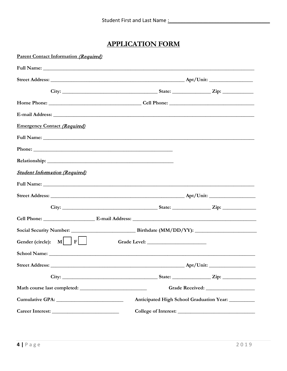### **APPLICATION FORM**

| <b>Parent Contact Information (Required)</b> |                                                     |  |           |
|----------------------------------------------|-----------------------------------------------------|--|-----------|
|                                              |                                                     |  |           |
|                                              |                                                     |  |           |
|                                              |                                                     |  |           |
|                                              |                                                     |  |           |
|                                              |                                                     |  |           |
| <b>Emergency Contact (Required)</b>          |                                                     |  |           |
|                                              |                                                     |  |           |
|                                              |                                                     |  |           |
|                                              |                                                     |  |           |
| <b>Student Information (Required)</b>        |                                                     |  |           |
|                                              |                                                     |  |           |
|                                              |                                                     |  |           |
|                                              |                                                     |  |           |
|                                              |                                                     |  |           |
|                                              |                                                     |  |           |
| Gender (circle): $M \mid F \mid$             |                                                     |  |           |
|                                              |                                                     |  |           |
|                                              |                                                     |  | Apt/Unit: |
|                                              |                                                     |  |           |
|                                              |                                                     |  |           |
|                                              | Anticipated High School Graduation Year: __________ |  |           |
|                                              |                                                     |  |           |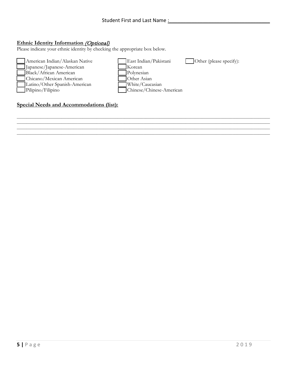\_\_\_\_\_\_\_\_\_\_\_\_\_\_\_\_\_\_\_\_\_\_\_\_\_\_\_\_\_\_\_\_\_\_\_\_\_\_\_\_\_\_\_\_\_\_\_\_\_\_\_\_\_\_\_\_\_\_\_\_\_\_\_\_\_\_\_\_\_\_\_\_\_\_\_\_\_\_\_\_\_\_\_\_\_\_\_\_\_\_\_\_\_\_\_\_\_\_\_\_\_\_\_\_\_\_\_\_  $\mathcal{L}_\mathcal{L} = \mathcal{L}_\mathcal{L} = \mathcal{L}_\mathcal{L} = \mathcal{L}_\mathcal{L} = \mathcal{L}_\mathcal{L} = \mathcal{L}_\mathcal{L} = \mathcal{L}_\mathcal{L} = \mathcal{L}_\mathcal{L} = \mathcal{L}_\mathcal{L} = \mathcal{L}_\mathcal{L} = \mathcal{L}_\mathcal{L} = \mathcal{L}_\mathcal{L} = \mathcal{L}_\mathcal{L} = \mathcal{L}_\mathcal{L} = \mathcal{L}_\mathcal{L} = \mathcal{L}_\mathcal{L} = \mathcal{L}_\mathcal{L}$ \_\_\_\_\_\_\_\_\_\_\_\_\_\_\_\_\_\_\_\_\_\_\_\_\_\_\_\_\_\_\_\_\_\_\_\_\_\_\_\_\_\_\_\_\_\_\_\_\_\_\_\_\_\_\_\_\_\_\_\_\_\_\_\_\_\_\_\_\_\_\_\_\_\_\_\_\_\_\_\_\_\_\_\_\_\_\_\_\_\_\_\_\_\_\_\_\_\_\_\_\_\_\_\_\_\_\_\_ \_\_\_\_\_\_\_\_\_\_\_\_\_\_\_\_\_\_\_\_\_\_\_\_\_\_\_\_\_\_\_\_\_\_\_\_\_\_\_\_\_\_\_\_\_\_\_\_\_\_\_\_\_\_\_\_\_\_\_\_\_\_\_\_\_\_\_\_\_\_\_\_\_\_\_\_\_\_\_\_\_\_\_\_\_\_\_\_\_\_\_\_\_\_\_\_\_\_\_\_\_\_\_\_\_\_\_\_

### **Ethnic Identity Information (Optional)**

Please indicate your ethnic identity by checking the appropriate box below.



### **Special Needs and Accommodations (list):**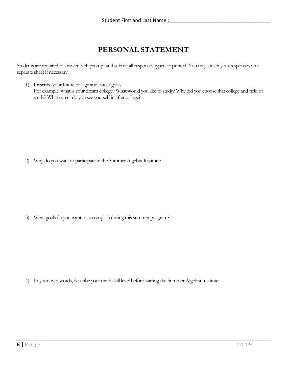### **PERSONAL STATEMENT**

Students are required to answer each prompt and submit all responses typed or printed. You may attach your responses on a separate sheet if necessary.

1) Describe your future college and career goals. For example: what is your dream college? What would you like to study? Why did you choose that college and field of study? What career do you see yourself in after college?

2) Why do you want to participate in the Summer Algebra Institute?

3) What goals do you want to accomplish during this summer program?

4) In your own words, describe your math skill level before starting the Summer Algebra Institute: